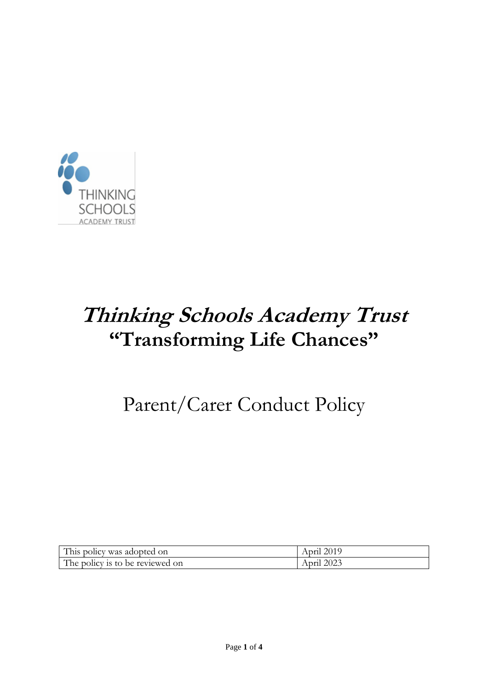

# **Thinking Schools Academy Trust "Transforming Life Chances"**

# Parent/Carer Conduct Policy

| This policy was adopted on      | April 2019 |
|---------------------------------|------------|
| The policy is to be reviewed on | April 2023 |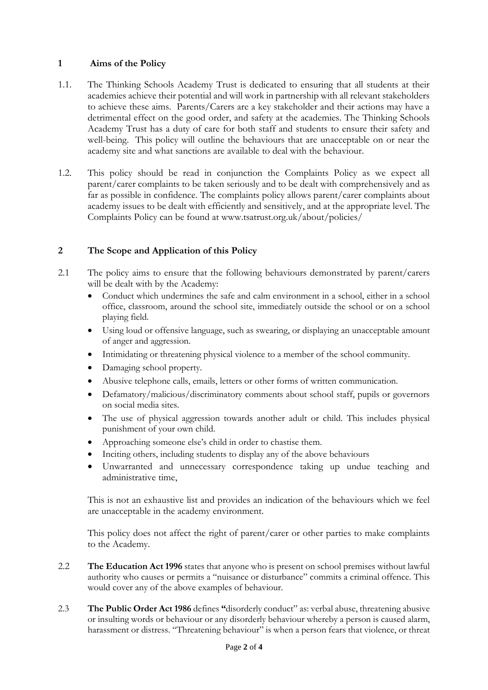### **1 Aims of the Policy**

- 1.1. The Thinking Schools Academy Trust is dedicated to ensuring that all students at their academies achieve their potential and will work in partnership with all relevant stakeholders to achieve these aims. Parents/Carers are a key stakeholder and their actions may have a detrimental effect on the good order, and safety at the academies. The Thinking Schools Academy Trust has a duty of care for both staff and students to ensure their safety and well-being. This policy will outline the behaviours that are unacceptable on or near the academy site and what sanctions are available to deal with the behaviour.
- 1.2. This policy should be read in conjunction the Complaints Policy as we expect all parent/carer complaints to be taken seriously and to be dealt with comprehensively and as far as possible in confidence. The complaints policy allows parent/carer complaints about academy issues to be dealt with efficiently and sensitively, and at the appropriate level. The Complaints Policy can be found at www.tsatrust.org.uk/about/policies/

# **2 The Scope and Application of this Policy**

- 2.1 The policy aims to ensure that the following behaviours demonstrated by parent/carers will be dealt with by the Academy:
	- Conduct which undermines the safe and calm environment in a school, either in a school office, classroom, around the school site, immediately outside the school or on a school playing field.
	- Using loud or offensive language, such as swearing, or displaying an unacceptable amount of anger and aggression.
	- Intimidating or threatening physical violence to a member of the school community.
	- Damaging school property.
	- Abusive telephone calls, emails, letters or other forms of written communication.
	- Defamatory/malicious/discriminatory comments about school staff, pupils or governors on social media sites.
	- The use of physical aggression towards another adult or child. This includes physical punishment of your own child.
	- Approaching someone else's child in order to chastise them.
	- Inciting others, including students to display any of the above behaviours
	- Unwarranted and unnecessary correspondence taking up undue teaching and administrative time,

This is not an exhaustive list and provides an indication of the behaviours which we feel are unacceptable in the academy environment.

This policy does not affect the right of parent/carer or other parties to make complaints to the Academy.

- 2.2 **The Education Act 1996** states that anyone who is present on school premises without lawful authority who causes or permits a "nuisance or disturbance" commits a criminal offence. This would cover any of the above examples of behaviour.
- 2.3 **The Public Order Act 1986** defines **"**disorderly conduct" as: verbal abuse, threatening abusive or insulting words or behaviour or any disorderly behaviour whereby a person is caused alarm, harassment or distress. "Threatening behaviour" is when a person fears that violence, or threat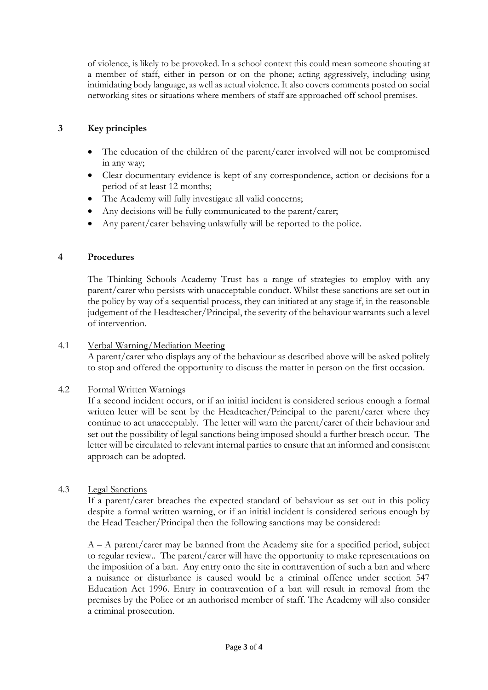of violence, is likely to be provoked. In a school context this could mean someone shouting at a member of staff, either in person or on the phone; acting aggressively, including using intimidating body language, as well as actual violence. It also covers comments posted on social networking sites or situations where members of staff are approached off school premises.

# **3 Key principles**

- The education of the children of the parent/carer involved will not be compromised in any way;
- Clear documentary evidence is kept of any correspondence, action or decisions for a period of at least 12 months;
- The Academy will fully investigate all valid concerns;
- Any decisions will be fully communicated to the parent/carer;
- Any parent/carer behaving unlawfully will be reported to the police.

### **4 Procedures**

The Thinking Schools Academy Trust has a range of strategies to employ with any parent/carer who persists with unacceptable conduct. Whilst these sanctions are set out in the policy by way of a sequential process, they can initiated at any stage if, in the reasonable judgement of the Headteacher/Principal, the severity of the behaviour warrants such a level of intervention.

#### 4.1 Verbal Warning/Mediation Meeting

A parent/carer who displays any of the behaviour as described above will be asked politely to stop and offered the opportunity to discuss the matter in person on the first occasion.

#### 4.2 Formal Written Warnings

If a second incident occurs, or if an initial incident is considered serious enough a formal written letter will be sent by the Headteacher/Principal to the parent/carer where they continue to act unacceptably. The letter will warn the parent/carer of their behaviour and set out the possibility of legal sanctions being imposed should a further breach occur. The letter will be circulated to relevant internal parties to ensure that an informed and consistent approach can be adopted.

### 4.3 Legal Sanctions

If a parent/carer breaches the expected standard of behaviour as set out in this policy despite a formal written warning, or if an initial incident is considered serious enough by the Head Teacher/Principal then the following sanctions may be considered:

 $A - A$  parent/carer may be banned from the Academy site for a specified period, subject to regular review.. The parent/carer will have the opportunity to make representations on the imposition of a ban. Any entry onto the site in contravention of such a ban and where a nuisance or disturbance is caused would be a criminal offence under section 547 Education Act 1996. Entry in contravention of a ban will result in removal from the premises by the Police or an authorised member of staff. The Academy will also consider a criminal prosecution.